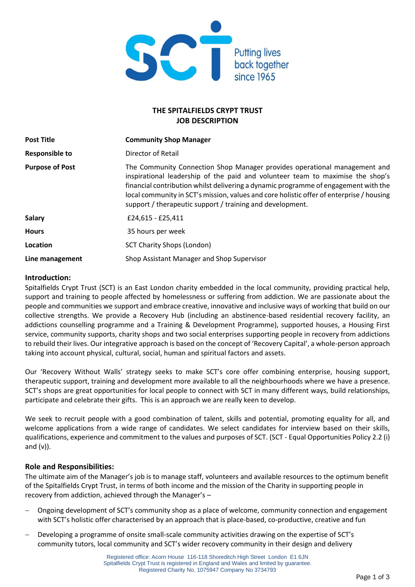

# **THE SPITALFIELDS CRYPT TRUST JOB DESCRIPTION**

| <b>Post Title</b>      | <b>Community Shop Manager</b>                                                                                                                                                                                                                                                                                                                                                                               |  |
|------------------------|-------------------------------------------------------------------------------------------------------------------------------------------------------------------------------------------------------------------------------------------------------------------------------------------------------------------------------------------------------------------------------------------------------------|--|
| <b>Responsible to</b>  | Director of Retail                                                                                                                                                                                                                                                                                                                                                                                          |  |
| <b>Purpose of Post</b> | The Community Connection Shop Manager provides operational management and<br>inspirational leadership of the paid and volunteer team to maximise the shop's<br>financial contribution whilst delivering a dynamic programme of engagement with the<br>local community in SCT's mission, values and core holistic offer of enterprise / housing<br>support / therapeutic support / training and development. |  |
| <b>Salary</b>          | £24,615 - £25,411                                                                                                                                                                                                                                                                                                                                                                                           |  |
| <b>Hours</b>           | 35 hours per week                                                                                                                                                                                                                                                                                                                                                                                           |  |
| Location               | <b>SCT Charity Shops (London)</b>                                                                                                                                                                                                                                                                                                                                                                           |  |
| Line management        | Shop Assistant Manager and Shop Supervisor                                                                                                                                                                                                                                                                                                                                                                  |  |

### **Introduction:**

Spitalfields Crypt Trust (SCT) is an East London charity embedded in the local community, providing practical help, support and training to people affected by homelessness or suffering from addiction. We are passionate about the people and communities we support and embrace creative, innovative and inclusive ways of working that build on our collective strengths. We provide a Recovery Hub (including an abstinence-based residential recovery facility, an addictions counselling programme and a Training & Development Programme), supported houses, a Housing First service, community supports, charity shops and two social enterprises supporting people in recovery from addictions to rebuild their lives. Our integrative approach is based on the concept of 'Recovery Capital', a whole-person approach taking into account physical, cultural, social, human and spiritual factors and assets.

Our 'Recovery Without Walls' strategy seeks to make SCT's core offer combining enterprise, housing support, therapeutic support, training and development more available to all the neighbourhoods where we have a presence. SCT's shops are great opportunities for local people to connect with SCT in many different ways, build relationships, participate and celebrate their gifts. This is an approach we are really keen to develop.

We seek to recruit people with a good combination of talent, skills and potential, promoting equality for all, and welcome applications from a wide range of candidates. We select candidates for interview based on their skills, qualifications, experience and commitment to the values and purposes of SCT. (SCT - Equal Opportunities Policy 2.2 (i) and  $(v)$ ).

#### **Role and Responsibilities:**

The ultimate aim of the Manager's job is to manage staff, volunteers and available resources to the optimum benefit of the Spitalfields Crypt Trust, in terms of both income and the mission of the Charity in supporting people in recovery from addiction, achieved through the Manager's –

- − Ongoing development of SCT's community shop as a place of welcome, community connection and engagement with SCT's holistic offer characterised by an approach that is place-based, co-productive, creative and fun
- Developing a programme of onsite small-scale community activities drawing on the expertise of SCT's community tutors, local community and SCT's wider recovery community in their design and delivery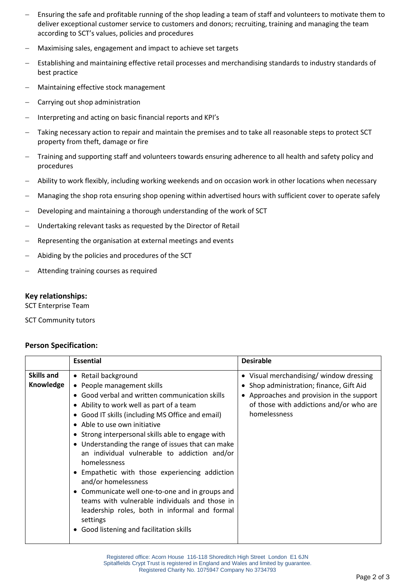- Ensuring the safe and profitable running of the shop leading a team of staff and volunteers to motivate them to deliver exceptional customer service to customers and donors; recruiting, training and managing the team according to SCT's values, policies and procedures
- − Maximising sales, engagement and impact to achieve set targets
- Establishing and maintaining effective retail processes and merchandising standards to industry standards of best practice
- − Maintaining effective stock management
- − Carrying out shop administration
- − Interpreting and acting on basic financial reports and KPI's
- Taking necessary action to repair and maintain the premises and to take all reasonable steps to protect SCT property from theft, damage or fire
- − Training and supporting staff and volunteers towards ensuring adherence to all health and safety policy and procedures
- − Ability to work flexibly, including working weekends and on occasion work in other locations when necessary
- − Managing the shop rota ensuring shop opening within advertised hours with sufficient cover to operate safely
- Developing and maintaining a thorough understanding of the work of SCT
- Undertaking relevant tasks as requested by the Director of Retail
- Representing the organisation at external meetings and events
- − Abiding by the policies and procedures of the SCT
- − Attending training courses as required

### **Key relationships:**

SCT Enterprise Team

SCT Community tutors

## **Person Specification:**

|                                | <b>Essential</b>                                                                                                                                                                                                                                                                                                                                                                                                                                                                                                                                                                                                                                                                       | <b>Desirable</b>                                                                                                                                                                                      |
|--------------------------------|----------------------------------------------------------------------------------------------------------------------------------------------------------------------------------------------------------------------------------------------------------------------------------------------------------------------------------------------------------------------------------------------------------------------------------------------------------------------------------------------------------------------------------------------------------------------------------------------------------------------------------------------------------------------------------------|-------------------------------------------------------------------------------------------------------------------------------------------------------------------------------------------------------|
| <b>Skills and</b><br>Knowledge | • Retail background<br>• People management skills<br>Good verbal and written communication skills<br>Ability to work well as part of a team<br>Good IT skills (including MS Office and email)<br>Able to use own initiative<br>• Strong interpersonal skills able to engage with<br>• Understanding the range of issues that can make<br>an individual vulnerable to addiction and/or<br>homelessness<br>Empathetic with those experiencing addiction<br>and/or homelessness<br>Communicate well one-to-one and in groups and<br>teams with vulnerable individuals and those in<br>leadership roles, both in informal and formal<br>settings<br>Good listening and facilitation skills | • Visual merchandising/window dressing<br>Shop administration; finance, Gift Aid<br>$\bullet$<br>• Approaches and provision in the support<br>of those with addictions and/or who are<br>homelessness |